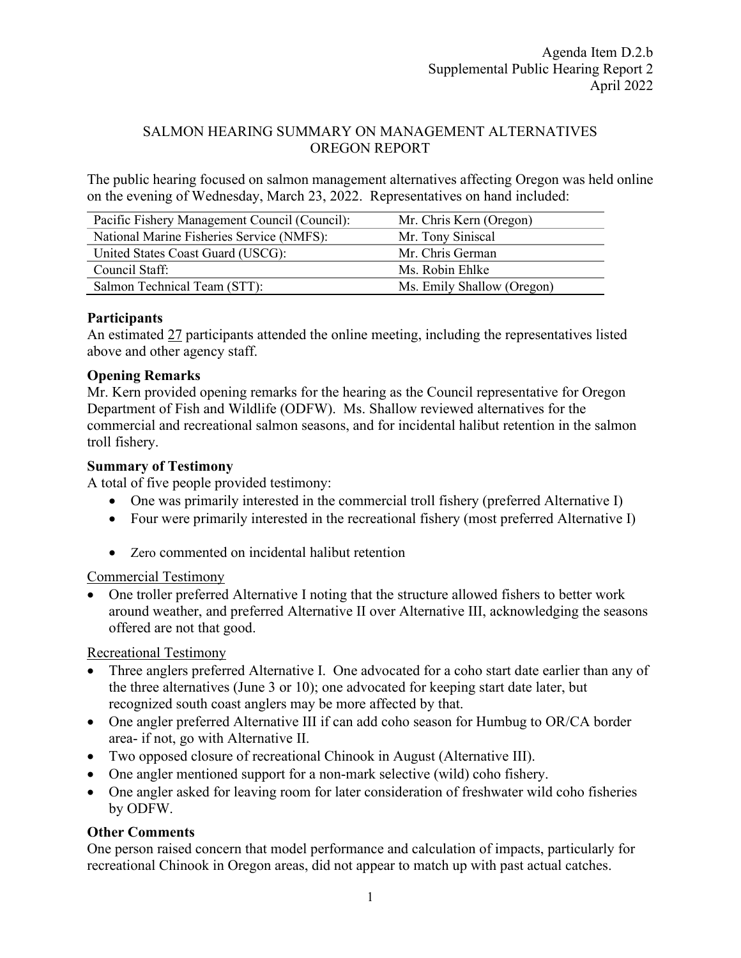#### SALMON HEARING SUMMARY ON MANAGEMENT ALTERNATIVES OREGON REPORT

The public hearing focused on salmon management alternatives affecting Oregon was held online on the evening of Wednesday, March 23, 2022. Representatives on hand included:

| Pacific Fishery Management Council (Council): | Mr. Chris Kern (Oregon)    |
|-----------------------------------------------|----------------------------|
| National Marine Fisheries Service (NMFS):     | Mr. Tony Siniscal          |
| United States Coast Guard (USCG):             | Mr. Chris German           |
| Council Staff:                                | Ms. Robin Ehlke            |
| Salmon Technical Team (STT):                  | Ms. Emily Shallow (Oregon) |

#### **Participants**

An estimated 27 participants attended the online meeting, including the representatives listed above and other agency staff.

## **Opening Remarks**

Mr. Kern provided opening remarks for the hearing as the Council representative for Oregon Department of Fish and Wildlife (ODFW). Ms. Shallow reviewed alternatives for the commercial and recreational salmon seasons, and for incidental halibut retention in the salmon troll fishery.

## **Summary of Testimony**

A total of five people provided testimony:

- One was primarily interested in the commercial troll fishery (preferred Alternative I)
- Four were primarily interested in the recreational fishery (most preferred Alternative I)
- Zero commented on incidental halibut retention

# Commercial Testimony

• One troller preferred Alternative I noting that the structure allowed fishers to better work around weather, and preferred Alternative II over Alternative III, acknowledging the seasons offered are not that good.

Recreational Testimony

- Three anglers preferred Alternative I. One advocated for a coho start date earlier than any of the three alternatives (June 3 or 10); one advocated for keeping start date later, but recognized south coast anglers may be more affected by that.
- One angler preferred Alternative III if can add coho season for Humbug to OR/CA border area- if not, go with Alternative II.
- Two opposed closure of recreational Chinook in August (Alternative III).
- One angler mentioned support for a non-mark selective (wild) coho fishery.
- One angler asked for leaving room for later consideration of freshwater wild coho fisheries by ODFW.

# **Other Comments**

One person raised concern that model performance and calculation of impacts, particularly for recreational Chinook in Oregon areas, did not appear to match up with past actual catches.